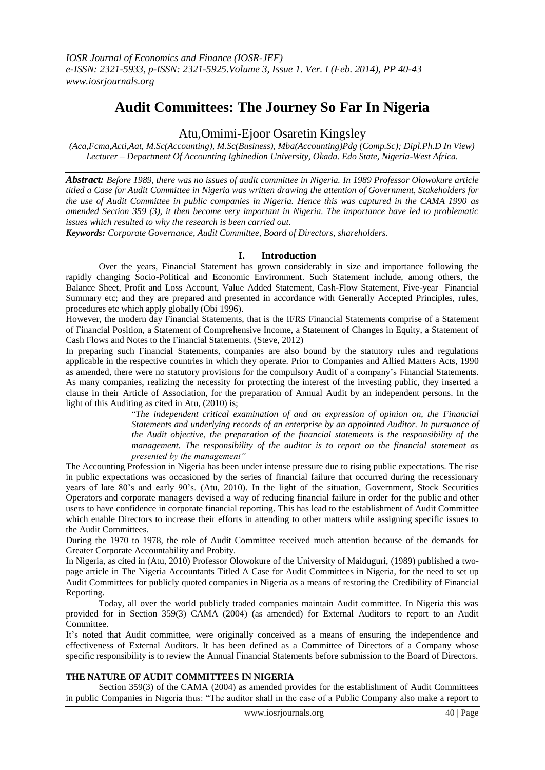# **Audit Committees: The Journey So Far In Nigeria**

## Atu,Omimi-Ejoor Osaretin Kingsley

*(Aca,Fcma,Acti,Aat, M.Sc(Accounting), M.Sc(Business), Mba(Accounting)Pdg (Comp.Sc); Dipl.Ph.D In View) Lecturer – Department Of Accounting Igbinedion University, Okada. Edo State, Nigeria-West Africa.*

*Abstract: Before 1989, there was no issues of audit committee in Nigeria. In 1989 Professor Olowokure article titled a Case for Audit Committee in Nigeria was written drawing the attention of Government, Stakeholders for the use of Audit Committee in public companies in Nigeria. Hence this was captured in the CAMA 1990 as amended Section 359 (3), it then become very important in Nigeria. The importance have led to problematic issues which resulted to why the research is been carried out.* 

*Keywords: Corporate Governance, Audit Committee, Board of Directors, shareholders.*

#### **I. Introduction**

Over the years, Financial Statement has grown considerably in size and importance following the rapidly changing Socio-Political and Economic Environment. Such Statement include, among others, the Balance Sheet, Profit and Loss Account, Value Added Statement, Cash-Flow Statement, Five-year Financial Summary etc; and they are prepared and presented in accordance with Generally Accepted Principles, rules, procedures etc which apply globally (Obi 1996).

However, the modern day Financial Statements, that is the IFRS Financial Statements comprise of a Statement of Financial Position, a Statement of Comprehensive Income, a Statement of Changes in Equity, a Statement of Cash Flows and Notes to the Financial Statements. (Steve, 2012)

In preparing such Financial Statements, companies are also bound by the statutory rules and regulations applicable in the respective countries in which they operate. Prior to Companies and Allied Matters Acts, 1990 as amended, there were no statutory provisions for the compulsory Audit of a company's Financial Statements. As many companies, realizing the necessity for protecting the interest of the investing public, they inserted a clause in their Article of Association, for the preparation of Annual Audit by an independent persons. In the light of this Auditing as cited in Atu, (2010) is;

"*The independent critical examination of and an expression of opinion on, the Financial Statements and underlying records of an enterprise by an appointed Auditor. In pursuance of the Audit objective, the preparation of the financial statements is the responsibility of the management. The responsibility of the auditor is to report on the financial statement as presented by the management"*

The Accounting Profession in Nigeria has been under intense pressure due to rising public expectations. The rise in public expectations was occasioned by the series of financial failure that occurred during the recessionary years of late 80's and early 90's. (Atu, 2010). In the light of the situation, Government, Stock Securities Operators and corporate managers devised a way of reducing financial failure in order for the public and other users to have confidence in corporate financial reporting. This has lead to the establishment of Audit Committee which enable Directors to increase their efforts in attending to other matters while assigning specific issues to the Audit Committees.

During the 1970 to 1978, the role of Audit Committee received much attention because of the demands for Greater Corporate Accountability and Probity.

In Nigeria, as cited in (Atu, 2010) Professor Olowokure of the University of Maiduguri, (1989) published a twopage article in The Nigeria Accountants Titled A Case for Audit Committees in Nigeria, for the need to set up Audit Committees for publicly quoted companies in Nigeria as a means of restoring the Credibility of Financial Reporting.

Today, all over the world publicly traded companies maintain Audit committee. In Nigeria this was provided for in Section 359(3) CAMA (2004) (as amended) for External Auditors to report to an Audit Committee.

It's noted that Audit committee, were originally conceived as a means of ensuring the independence and effectiveness of External Auditors. It has been defined as a Committee of Directors of a Company whose specific responsibility is to review the Annual Financial Statements before submission to the Board of Directors.

#### **THE NATURE OF AUDIT COMMITTEES IN NIGERIA**

Section 359(3) of the CAMA (2004) as amended provides for the establishment of Audit Committees in public Companies in Nigeria thus: "The auditor shall in the case of a Public Company also make a report to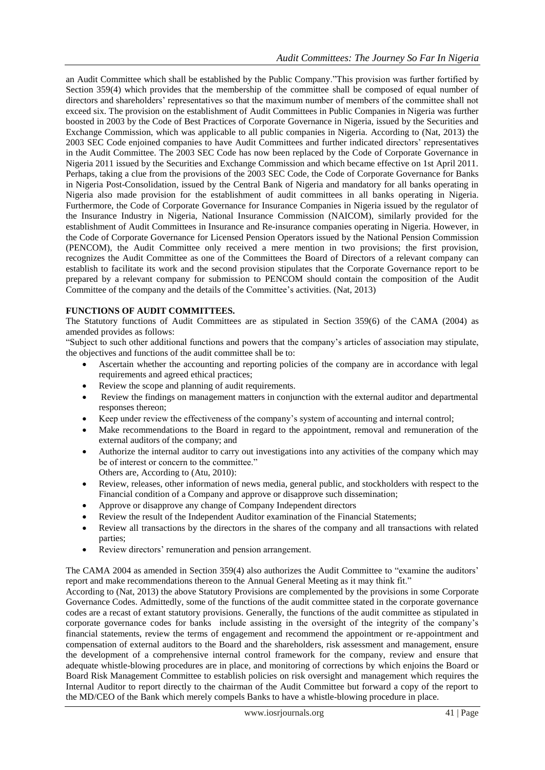an Audit Committee which shall be established by the Public Company."This provision was further fortified by Section 359(4) which provides that the membership of the committee shall be composed of equal number of directors and shareholders' representatives so that the maximum number of members of the committee shall not exceed six. The provision on the establishment of Audit Committees in Public Companies in Nigeria was further boosted in 2003 by the Code of Best Practices of Corporate Governance in Nigeria, issued by the Securities and Exchange Commission, which was applicable to all public companies in Nigeria. According to (Nat, 2013) the 2003 SEC Code enjoined companies to have Audit Committees and further indicated directors' representatives in the Audit Committee. The 2003 SEC Code has now been replaced by the Code of Corporate Governance in Nigeria 2011 issued by the Securities and Exchange Commission and which became effective on 1st April 2011. Perhaps, taking a clue from the provisions of the 2003 SEC Code, the Code of Corporate Governance for Banks in Nigeria Post-Consolidation, issued by the Central Bank of Nigeria and mandatory for all banks operating in Nigeria also made provision for the establishment of audit committees in all banks operating in Nigeria. Furthermore, the Code of Corporate Governance for Insurance Companies in Nigeria issued by the regulator of the Insurance Industry in Nigeria, National Insurance Commission (NAICOM), similarly provided for the establishment of Audit Committees in Insurance and Re-insurance companies operating in Nigeria. However, in the Code of Corporate Governance for Licensed Pension Operators issued by the National Pension Commission (PENCOM), the Audit Committee only received a mere mention in two provisions; the first provision, recognizes the Audit Committee as one of the Committees the Board of Directors of a relevant company can establish to facilitate its work and the second provision stipulates that the Corporate Governance report to be prepared by a relevant company for submission to PENCOM should contain the composition of the Audit Committee of the company and the details of the Committee's activities. (Nat, 2013)

### **FUNCTIONS OF AUDIT COMMITTEES.**

The Statutory functions of Audit Committees are as stipulated in Section 359(6) of the CAMA (2004) as amended provides as follows:

"Subject to such other additional functions and powers that the company's articles of association may stipulate, the objectives and functions of the audit committee shall be to:

- Ascertain whether the accounting and reporting policies of the company are in accordance with legal requirements and agreed ethical practices;
- Review the scope and planning of audit requirements.
- Review the findings on management matters in conjunction with the external auditor and departmental responses thereon;
- Keep under review the effectiveness of the company's system of accounting and internal control;
- Make recommendations to the Board in regard to the appointment, removal and remuneration of the external auditors of the company; and
- Authorize the internal auditor to carry out investigations into any activities of the company which may be of interest or concern to the committee." Others are, According to (Atu, 2010):
- Review, releases, other information of news media, general public, and stockholders with respect to the Financial condition of a Company and approve or disapprove such dissemination;
- Approve or disapprove any change of Company Independent directors
- Review the result of the Independent Auditor examination of the Financial Statements;
- Review all transactions by the directors in the shares of the company and all transactions with related parties;
- Review directors' remuneration and pension arrangement.

The CAMA 2004 as amended in Section 359(4) also authorizes the Audit Committee to "examine the auditors' report and make recommendations thereon to the Annual General Meeting as it may think fit."

According to (Nat, 2013) the above Statutory Provisions are complemented by the provisions in some Corporate Governance Codes. Admittedly, some of the functions of the audit committee stated in the corporate governance codes are a recast of extant statutory provisions. Generally, the functions of the audit committee as stipulated in corporate governance codes for banks include assisting in the oversight of the integrity of the company's financial statements, review the terms of engagement and recommend the appointment or re‐appointment and compensation of external auditors to the Board and the shareholders, risk assessment and management, ensure the development of a comprehensive internal control framework for the company, review and ensure that adequate whistle-blowing procedures are in place, and monitoring of corrections by which enjoins the Board or Board Risk Management Committee to establish policies on risk oversight and management which requires the Internal Auditor to report directly to the chairman of the Audit Committee but forward a copy of the report to the MD/CEO of the Bank which merely compels Banks to have a whistle-blowing procedure in place.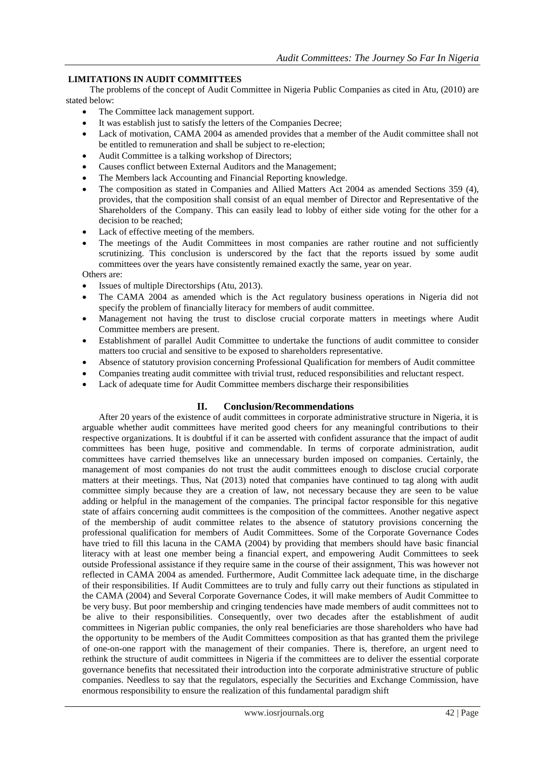### **LIMITATIONS IN AUDIT COMMITTEES**

The problems of the concept of Audit Committee in Nigeria Public Companies as cited in Atu, (2010) are stated below:

- The Committee lack management support.
- It was establish just to satisfy the letters of the Companies Decree;
- Lack of motivation, CAMA 2004 as amended provides that a member of the Audit committee shall not be entitled to remuneration and shall be subject to re-election;
- Audit Committee is a talking workshop of Directors;
- Causes conflict between External Auditors and the Management;
- The Members lack Accounting and Financial Reporting knowledge.
- The composition as stated in Companies and Allied Matters Act 2004 as amended Sections 359 (4), provides, that the composition shall consist of an equal member of Director and Representative of the Shareholders of the Company. This can easily lead to lobby of either side voting for the other for a decision to be reached;
- Lack of effective meeting of the members.
- The meetings of the Audit Committees in most companies are rather routine and not sufficiently scrutinizing. This conclusion is underscored by the fact that the reports issued by some audit committees over the years have consistently remained exactly the same, year on year.

Others are:

- Issues of multiple Directorships (Atu, 2013).
- The CAMA 2004 as amended which is the Act regulatory business operations in Nigeria did not specify the problem of financially literacy for members of audit committee.
- Management not having the trust to disclose crucial corporate matters in meetings where Audit Committee members are present.
- Establishment of parallel Audit Committee to undertake the functions of audit committee to consider matters too crucial and sensitive to be exposed to shareholders representative.
- Absence of statutory provision concerning Professional Qualification for members of Audit committee
- Companies treating audit committee with trivial trust, reduced responsibilities and reluctant respect.
- Lack of adequate time for Audit Committee members discharge their responsibilities

### **II. Conclusion/Recommendations**

After 20 years of the existence of audit committees in corporate administrative structure in Nigeria, it is arguable whether audit committees have merited good cheers for any meaningful contributions to their respective organizations. It is doubtful if it can be asserted with confident assurance that the impact of audit committees has been huge, positive and commendable. In terms of corporate administration, audit committees have carried themselves like an unnecessary burden imposed on companies. Certainly, the management of most companies do not trust the audit committees enough to disclose crucial corporate matters at their meetings. Thus, Nat (2013) noted that companies have continued to tag along with audit committee simply because they are a creation of law, not necessary because they are seen to be value adding or helpful in the management of the companies. The principal factor responsible for this negative state of affairs concerning audit committees is the composition of the committees. Another negative aspect of the membership of audit committee relates to the absence of statutory provisions concerning the professional qualification for members of Audit Committees. Some of the Corporate Governance Codes have tried to fill this lacuna in the CAMA (2004) by providing that members should have basic financial literacy with at least one member being a financial expert, and empowering Audit Committees to seek outside Professional assistance if they require same in the course of their assignment, This was however not reflected in CAMA 2004 as amended. Furthermore, Audit Committee lack adequate time, in the discharge of their responsibilities. If Audit Committees are to truly and fully carry out their functions as stipulated in the CAMA (2004) and Several Corporate Governance Codes, it will make members of Audit Committee to be very busy. But poor membership and cringing tendencies have made members of audit committees not to be alive to their responsibilities. Consequently, over two decades after the establishment of audit committees in Nigerian public companies, the only real beneficiaries are those shareholders who have had the opportunity to be members of the Audit Committees composition as that has granted them the privilege of one-on-one rapport with the management of their companies. There is, therefore, an urgent need to rethink the structure of audit committees in Nigeria if the committees are to deliver the essential corporate governance benefits that necessitated their introduction into the corporate administrative structure of public companies. Needless to say that the regulators, especially the Securities and Exchange Commission, have enormous responsibility to ensure the realization of this fundamental paradigm shift